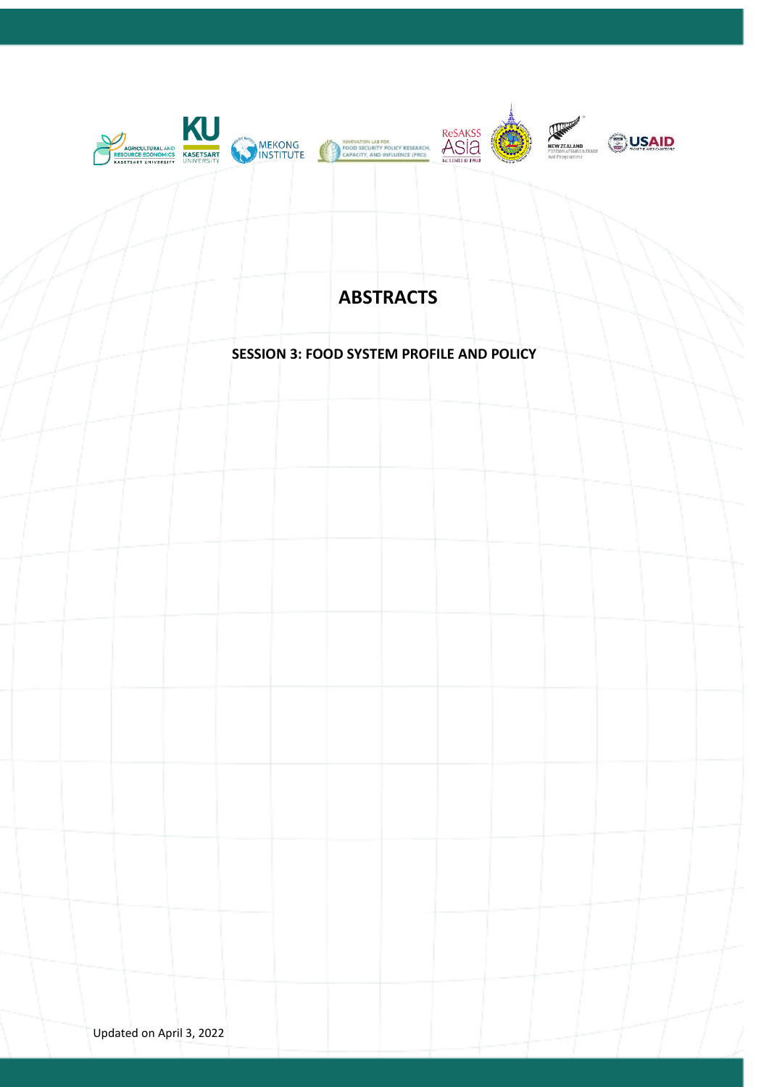

# **ABSTRACTS**

## **SESSION 3: FOOD SYSTEM PROFILE AND POLICY**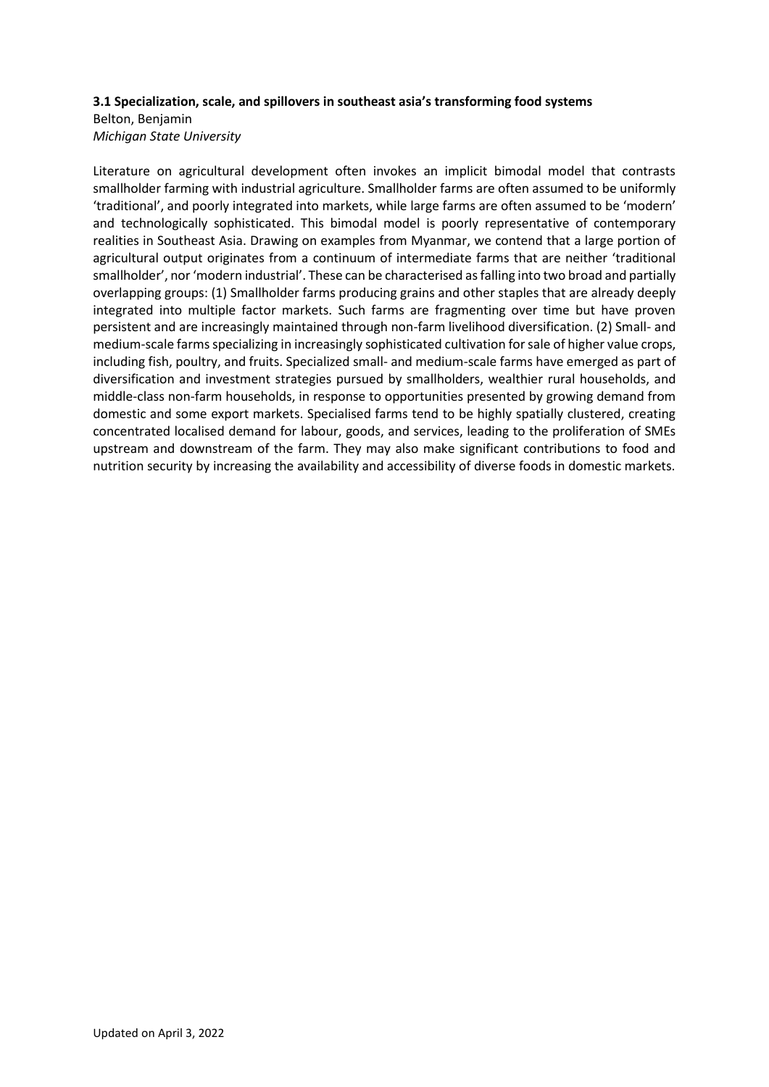## **3.1 Specialization, scale, and spillovers in southeast asia's transforming food systems**

## Belton, Benjamin *Michigan State University*

Literature on agricultural development often invokes an implicit bimodal model that contrasts smallholder farming with industrial agriculture. Smallholder farms are often assumed to be uniformly 'traditional', and poorly integrated into markets, while large farms are often assumed to be 'modern' and technologically sophisticated. This bimodal model is poorly representative of contemporary realities in Southeast Asia. Drawing on examples from Myanmar, we contend that a large portion of agricultural output originates from a continuum of intermediate farms that are neither 'traditional smallholder', nor 'modern industrial'. These can be characterised as falling into two broad and partially overlapping groups: (1) Smallholder farms producing grains and other staples that are already deeply integrated into multiple factor markets. Such farms are fragmenting over time but have proven persistent and are increasingly maintained through non-farm livelihood diversification. (2) Small- and medium-scale farms specializing in increasingly sophisticated cultivation for sale of higher value crops, including fish, poultry, and fruits. Specialized small- and medium-scale farms have emerged as part of diversification and investment strategies pursued by smallholders, wealthier rural households, and middle-class non-farm households, in response to opportunities presented by growing demand from domestic and some export markets. Specialised farms tend to be highly spatially clustered, creating concentrated localised demand for labour, goods, and services, leading to the proliferation of SMEs upstream and downstream of the farm. They may also make significant contributions to food and nutrition security by increasing the availability and accessibility of diverse foods in domestic markets.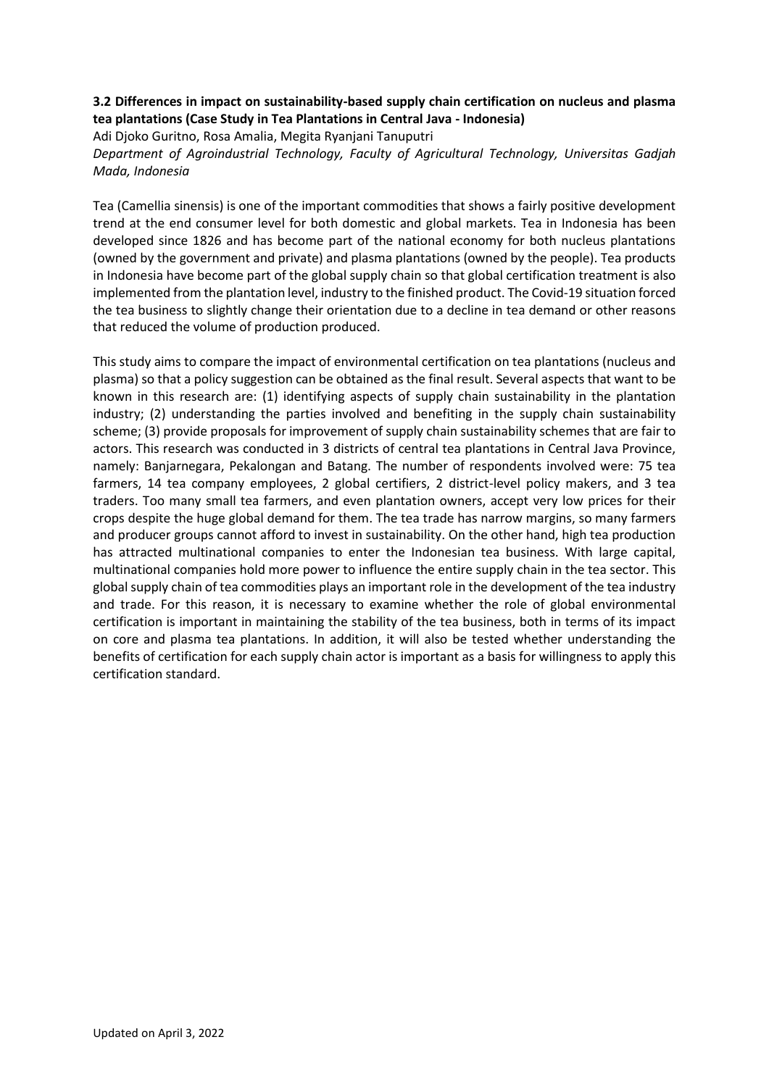## **3.2 Differences in impact on sustainability-based supply chain certification on nucleus and plasma tea plantations (Case Study in Tea Plantations in Central Java - Indonesia)**

Adi Djoko Guritno, Rosa Amalia, Megita Ryanjani Tanuputri *Department of Agroindustrial Technology, Faculty of Agricultural Technology, Universitas Gadjah Mada, Indonesia* 

Tea (Camellia sinensis) is one of the important commodities that shows a fairly positive development trend at the end consumer level for both domestic and global markets. Tea in Indonesia has been developed since 1826 and has become part of the national economy for both nucleus plantations (owned by the government and private) and plasma plantations (owned by the people). Tea products in Indonesia have become part of the global supply chain so that global certification treatment is also implemented from the plantation level, industry to the finished product. The Covid-19 situation forced the tea business to slightly change their orientation due to a decline in tea demand or other reasons that reduced the volume of production produced.

This study aims to compare the impact of environmental certification on tea plantations (nucleus and plasma) so that a policy suggestion can be obtained as the final result. Several aspects that want to be known in this research are: (1) identifying aspects of supply chain sustainability in the plantation industry; (2) understanding the parties involved and benefiting in the supply chain sustainability scheme; (3) provide proposals for improvement of supply chain sustainability schemes that are fair to actors. This research was conducted in 3 districts of central tea plantations in Central Java Province, namely: Banjarnegara, Pekalongan and Batang. The number of respondents involved were: 75 tea farmers, 14 tea company employees, 2 global certifiers, 2 district-level policy makers, and 3 tea traders. Too many small tea farmers, and even plantation owners, accept very low prices for their crops despite the huge global demand for them. The tea trade has narrow margins, so many farmers and producer groups cannot afford to invest in sustainability. On the other hand, high tea production has attracted multinational companies to enter the Indonesian tea business. With large capital, multinational companies hold more power to influence the entire supply chain in the tea sector. This global supply chain of tea commodities plays an important role in the development of the tea industry and trade. For this reason, it is necessary to examine whether the role of global environmental certification is important in maintaining the stability of the tea business, both in terms of its impact on core and plasma tea plantations. In addition, it will also be tested whether understanding the benefits of certification for each supply chain actor is important as a basis for willingness to apply this certification standard.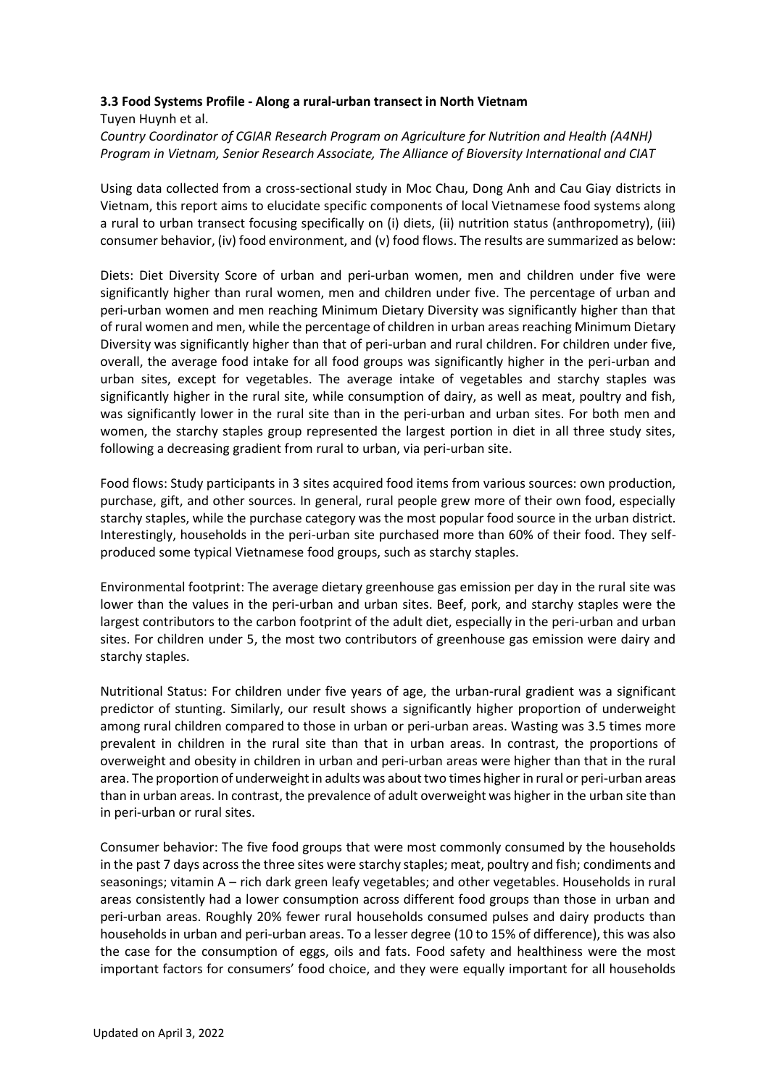## **3.3 Food Systems Profile - Along a rural-urban transect in North Vietnam**

Tuyen Huynh et al. *Country Coordinator of CGIAR Research Program on Agriculture for Nutrition and Health (A4NH) Program in Vietnam, Senior Research Associate, The Alliance of Bioversity International and CIAT*

Using data collected from a cross-sectional study in Moc Chau, Dong Anh and Cau Giay districts in Vietnam, this report aims to elucidate specific components of local Vietnamese food systems along a rural to urban transect focusing specifically on (i) diets, (ii) nutrition status (anthropometry), (iii) consumer behavior, (iv) food environment, and (v) food flows. The results are summarized as below:

Diets: Diet Diversity Score of urban and peri-urban women, men and children under five were significantly higher than rural women, men and children under five. The percentage of urban and peri-urban women and men reaching Minimum Dietary Diversity was significantly higher than that of rural women and men, while the percentage of children in urban areas reaching Minimum Dietary Diversity was significantly higher than that of peri-urban and rural children. For children under five, overall, the average food intake for all food groups was significantly higher in the peri-urban and urban sites, except for vegetables. The average intake of vegetables and starchy staples was significantly higher in the rural site, while consumption of dairy, as well as meat, poultry and fish, was significantly lower in the rural site than in the peri-urban and urban sites. For both men and women, the starchy staples group represented the largest portion in diet in all three study sites, following a decreasing gradient from rural to urban, via peri-urban site.

Food flows: Study participants in 3 sites acquired food items from various sources: own production, purchase, gift, and other sources. In general, rural people grew more of their own food, especially starchy staples, while the purchase category was the most popular food source in the urban district. Interestingly, households in the peri-urban site purchased more than 60% of their food. They selfproduced some typical Vietnamese food groups, such as starchy staples.

Environmental footprint: The average dietary greenhouse gas emission per day in the rural site was lower than the values in the peri-urban and urban sites. Beef, pork, and starchy staples were the largest contributors to the carbon footprint of the adult diet, especially in the peri-urban and urban sites. For children under 5, the most two contributors of greenhouse gas emission were dairy and starchy staples.

Nutritional Status: For children under five years of age, the urban-rural gradient was a significant predictor of stunting. Similarly, our result shows a significantly higher proportion of underweight among rural children compared to those in urban or peri-urban areas. Wasting was 3.5 times more prevalent in children in the rural site than that in urban areas. In contrast, the proportions of overweight and obesity in children in urban and peri-urban areas were higher than that in the rural area. The proportion of underweight in adults was about two times higher in rural or peri-urban areas than in urban areas. In contrast, the prevalence of adult overweight was higher in the urban site than in peri-urban or rural sites.

Consumer behavior: The five food groups that were most commonly consumed by the households in the past 7 days across the three sites were starchy staples; meat, poultry and fish; condiments and seasonings; vitamin A – rich dark green leafy vegetables; and other vegetables. Households in rural areas consistently had a lower consumption across different food groups than those in urban and peri-urban areas. Roughly 20% fewer rural households consumed pulses and dairy products than households in urban and peri-urban areas. To a lesser degree (10 to 15% of difference), this was also the case for the consumption of eggs, oils and fats. Food safety and healthiness were the most important factors for consumers' food choice, and they were equally important for all households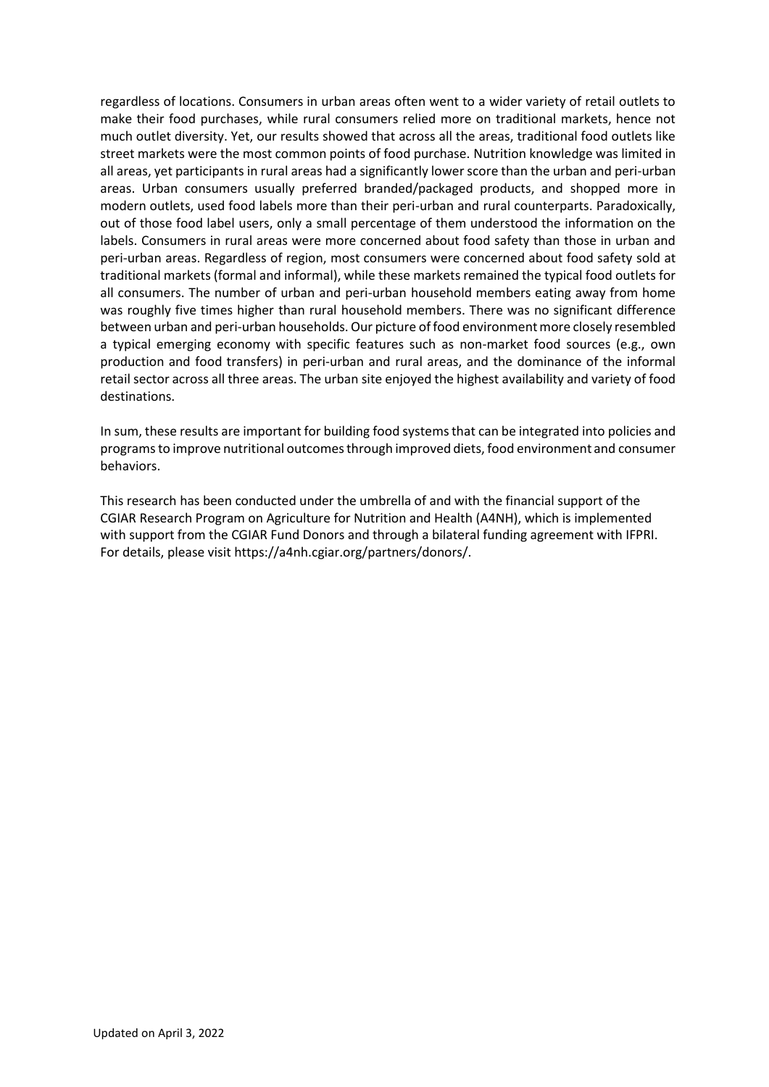regardless of locations. Consumers in urban areas often went to a wider variety of retail outlets to make their food purchases, while rural consumers relied more on traditional markets, hence not much outlet diversity. Yet, our results showed that across all the areas, traditional food outlets like street markets were the most common points of food purchase. Nutrition knowledge was limited in all areas, yet participants in rural areas had a significantly lower score than the urban and peri-urban areas. Urban consumers usually preferred branded/packaged products, and shopped more in modern outlets, used food labels more than their peri-urban and rural counterparts. Paradoxically, out of those food label users, only a small percentage of them understood the information on the labels. Consumers in rural areas were more concerned about food safety than those in urban and peri-urban areas. Regardless of region, most consumers were concerned about food safety sold at traditional markets (formal and informal), while these markets remained the typical food outlets for all consumers. The number of urban and peri-urban household members eating away from home was roughly five times higher than rural household members. There was no significant difference between urban and peri-urban households.Our picture of food environment more closely resembled a typical emerging economy with specific features such as non-market food sources (e.g., own production and food transfers) in peri-urban and rural areas, and the dominance of the informal retail sector across all three areas. The urban site enjoyed the highest availability and variety of food destinations.

In sum, these results are important for building food systems that can be integrated into policies and programs to improve nutritional outcomes through improved diets, food environment and consumer behaviors.

This research has been conducted under the umbrella of and with the financial support of the CGIAR Research Program on Agriculture for Nutrition and Health (A4NH), which is implemented with support from the CGIAR Fund Donors and through a bilateral funding agreement with IFPRI. For details, please visit https://a4nh.cgiar.org/partners/donors/.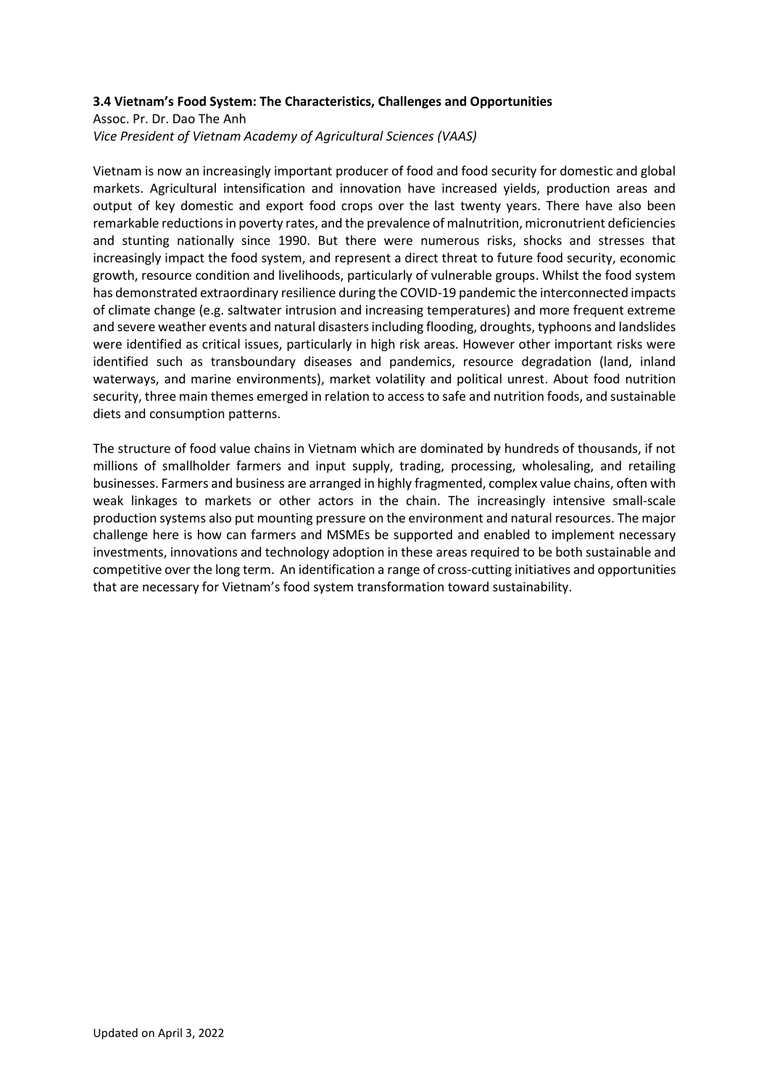## **3.4 Vietnam's Food System: The Characteristics, Challenges and Opportunities**

Assoc. Pr. Dr. Dao The Anh *Vice President of Vietnam Academy of Agricultural Sciences (VAAS)*

Vietnam is now an increasingly important producer of food and food security for domestic and global markets. Agricultural intensification and innovation have increased yields, production areas and output of key domestic and export food crops over the last twenty years. There have also been remarkable reductions in poverty rates, and the prevalence of malnutrition, micronutrient deficiencies and stunting nationally since 1990. But there were numerous risks, shocks and stresses that increasingly impact the food system, and represent a direct threat to future food security, economic growth, resource condition and livelihoods, particularly of vulnerable groups. Whilst the food system has demonstrated extraordinary resilience during the COVID-19 pandemic the interconnected impacts of climate change (e.g. saltwater intrusion and increasing temperatures) and more frequent extreme and severe weather events and natural disasters including flooding, droughts, typhoons and landslides were identified as critical issues, particularly in high risk areas. However other important risks were identified such as transboundary diseases and pandemics, resource degradation (land, inland waterways, and marine environments), market volatility and political unrest. About food nutrition security, three main themes emerged in relation to access to safe and nutrition foods, and sustainable diets and consumption patterns.

The structure of food value chains in Vietnam which are dominated by hundreds of thousands, if not millions of smallholder farmers and input supply, trading, processing, wholesaling, and retailing businesses. Farmers and business are arranged in highly fragmented, complex value chains, often with weak linkages to markets or other actors in the chain. The increasingly intensive small-scale production systems also put mounting pressure on the environment and natural resources. The major challenge here is how can farmers and MSMEs be supported and enabled to implement necessary investments, innovations and technology adoption in these areas required to be both sustainable and competitive over the long term. An identification a range of cross-cutting initiatives and opportunities that are necessary for Vietnam's food system transformation toward sustainability.